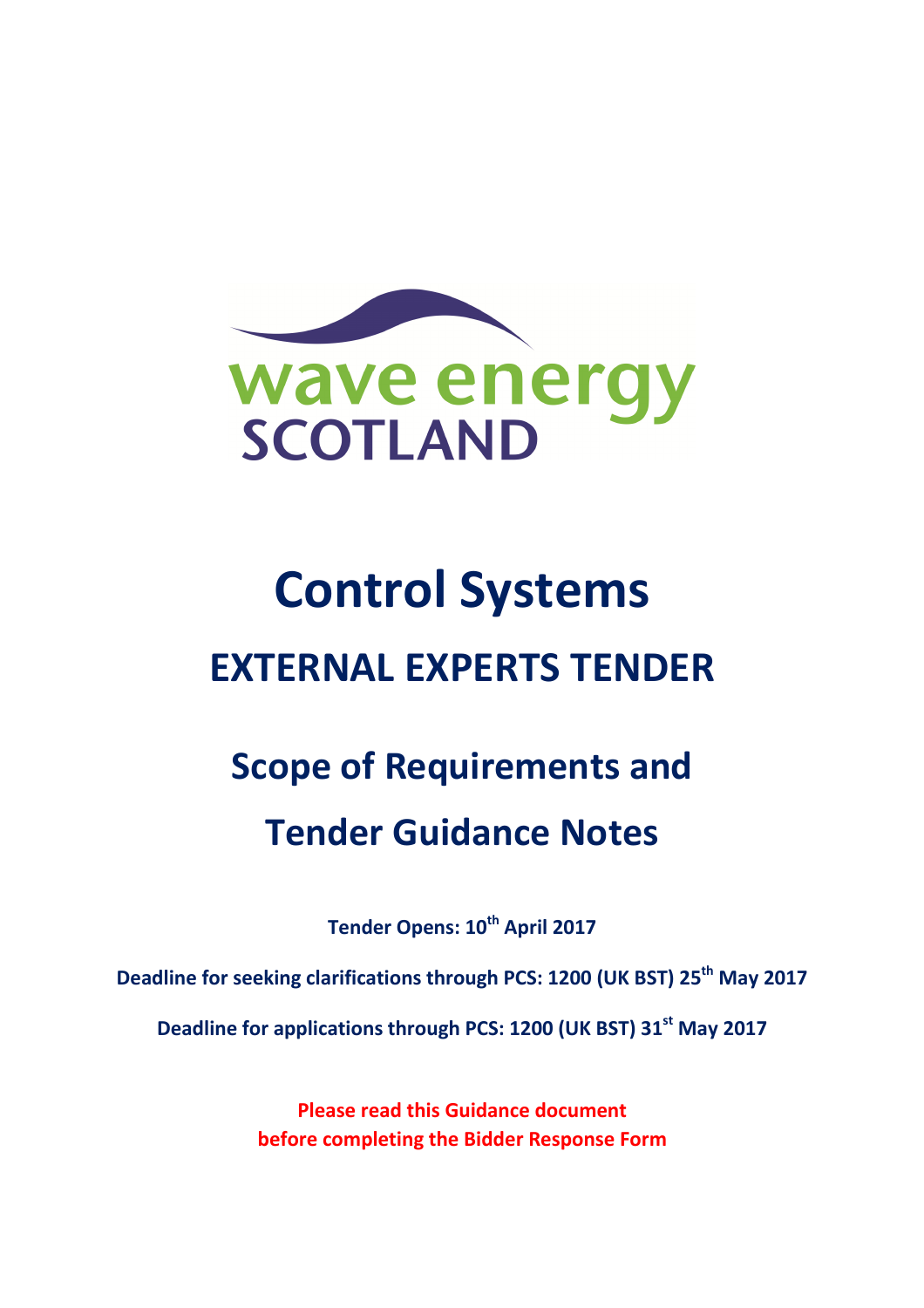

# Control Systems EXTERNAL EXPERTS TENDER

## Scope of Requirements and Tender Guidance Notes

Tender Opens: 10<sup>th</sup> April 2017

Deadline for seeking clarifications through PCS: 1200 (UK BST) 25<sup>th</sup> May 2017

Deadline for applications through PCS: 1200 (UK BST) 31<sup>st</sup> May 2017

Please read this Guidance document before completing the Bidder Response Form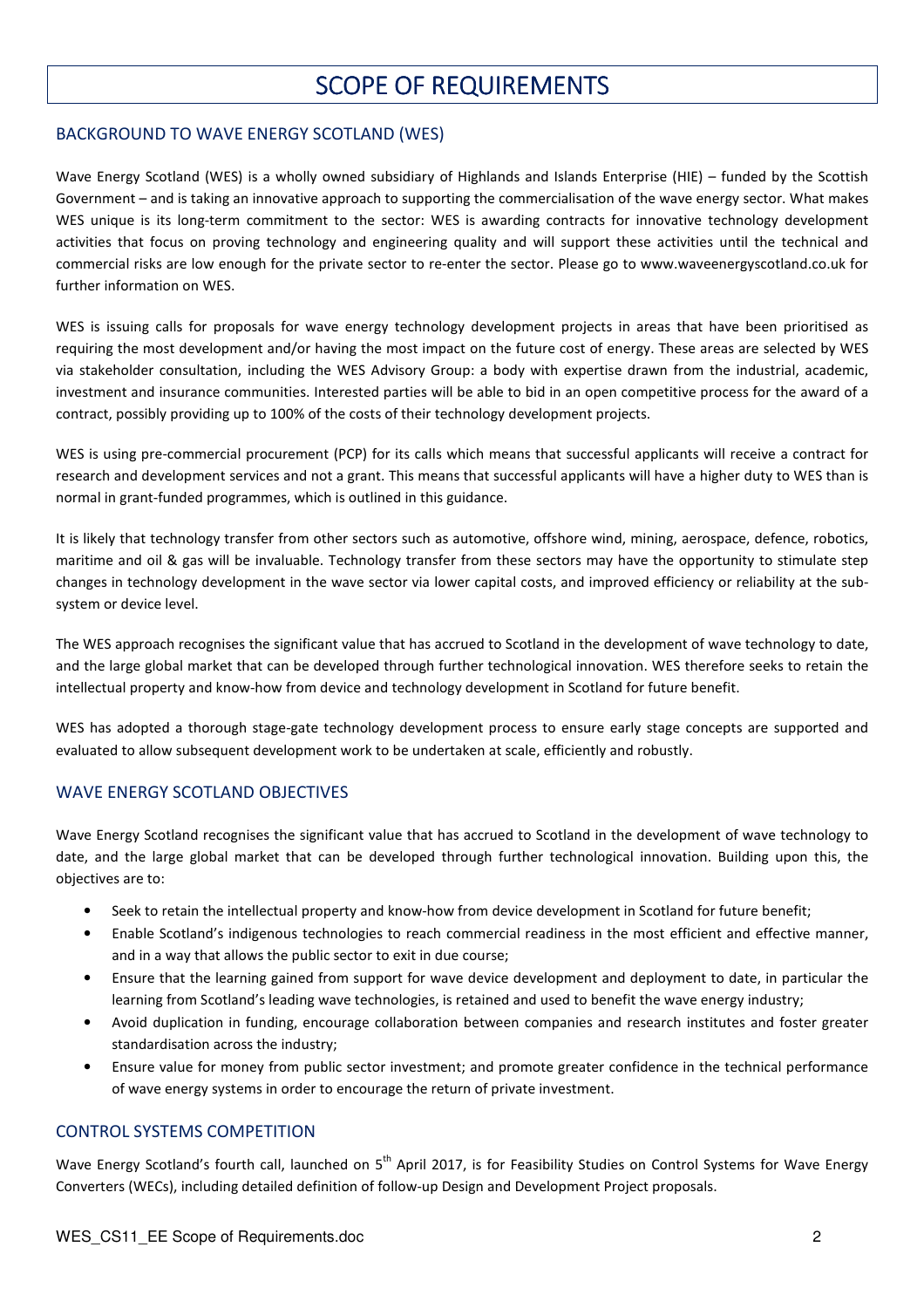## SCOPE OF REQUIREMENTS

#### BACKGROUND TO WAVE ENERGY SCOTLAND (WES)

Wave Energy Scotland (WES) is a wholly owned subsidiary of Highlands and Islands Enterprise (HIE) – funded by the Scottish Government – and is taking an innovative approach to supporting the commercialisation of the wave energy sector. What makes WES unique is its long-term commitment to the sector: WES is awarding contracts for innovative technology development activities that focus on proving technology and engineering quality and will support these activities until the technical and commercial risks are low enough for the private sector to re-enter the sector. Please go to www.waveenergyscotland.co.uk for further information on WES.

WES is issuing calls for proposals for wave energy technology development projects in areas that have been prioritised as requiring the most development and/or having the most impact on the future cost of energy. These areas are selected by WES via stakeholder consultation, including the WES Advisory Group: a body with expertise drawn from the industrial, academic, investment and insurance communities. Interested parties will be able to bid in an open competitive process for the award of a contract, possibly providing up to 100% of the costs of their technology development projects.

WES is using pre-commercial procurement (PCP) for its calls which means that successful applicants will receive a contract for research and development services and not a grant. This means that successful applicants will have a higher duty to WES than is normal in grant-funded programmes, which is outlined in this guidance.

It is likely that technology transfer from other sectors such as automotive, offshore wind, mining, aerospace, defence, robotics, maritime and oil & gas will be invaluable. Technology transfer from these sectors may have the opportunity to stimulate step changes in technology development in the wave sector via lower capital costs, and improved efficiency or reliability at the subsystem or device level.

The WES approach recognises the significant value that has accrued to Scotland in the development of wave technology to date, and the large global market that can be developed through further technological innovation. WES therefore seeks to retain the intellectual property and know-how from device and technology development in Scotland for future benefit.

WES has adopted a thorough stage-gate technology development process to ensure early stage concepts are supported and evaluated to allow subsequent development work to be undertaken at scale, efficiently and robustly.

#### WAVE ENERGY SCOTLAND OBJECTIVES

Wave Energy Scotland recognises the significant value that has accrued to Scotland in the development of wave technology to date, and the large global market that can be developed through further technological innovation. Building upon this, the objectives are to:

- Seek to retain the intellectual property and know-how from device development in Scotland for future benefit;
- Enable Scotland's indigenous technologies to reach commercial readiness in the most efficient and effective manner, and in a way that allows the public sector to exit in due course;
- Ensure that the learning gained from support for wave device development and deployment to date, in particular the learning from Scotland's leading wave technologies, is retained and used to benefit the wave energy industry;
- Avoid duplication in funding, encourage collaboration between companies and research institutes and foster greater standardisation across the industry;
- Ensure value for money from public sector investment; and promote greater confidence in the technical performance of wave energy systems in order to encourage the return of private investment.

#### CONTROL SYSTEMS COMPETITION

Wave Energy Scotland's fourth call, launched on 5<sup>th</sup> April 2017, is for Feasibility Studies on Control Systems for Wave Energy Converters (WECs), including detailed definition of follow-up Design and Development Project proposals.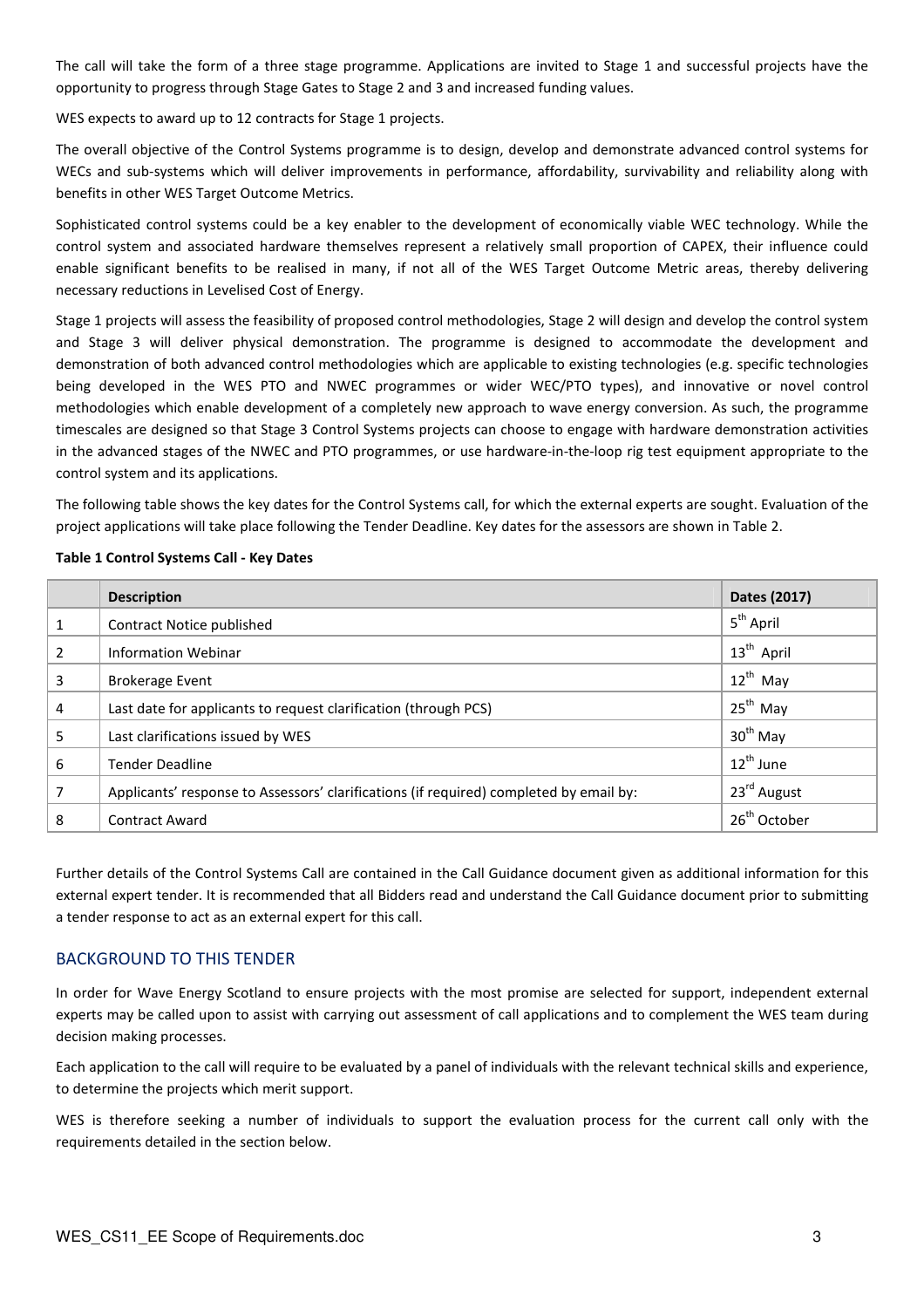The call will take the form of a three stage programme. Applications are invited to Stage 1 and successful projects have the opportunity to progress through Stage Gates to Stage 2 and 3 and increased funding values.

WES expects to award up to 12 contracts for Stage 1 projects.

The overall objective of the Control Systems programme is to design, develop and demonstrate advanced control systems for WECs and sub-systems which will deliver improvements in performance, affordability, survivability and reliability along with benefits in other WES Target Outcome Metrics.

Sophisticated control systems could be a key enabler to the development of economically viable WEC technology. While the control system and associated hardware themselves represent a relatively small proportion of CAPEX, their influence could enable significant benefits to be realised in many, if not all of the WES Target Outcome Metric areas, thereby delivering necessary reductions in Levelised Cost of Energy.

Stage 1 projects will assess the feasibility of proposed control methodologies, Stage 2 will design and develop the control system and Stage 3 will deliver physical demonstration. The programme is designed to accommodate the development and demonstration of both advanced control methodologies which are applicable to existing technologies (e.g. specific technologies being developed in the WES PTO and NWEC programmes or wider WEC/PTO types), and innovative or novel control methodologies which enable development of a completely new approach to wave energy conversion. As such, the programme timescales are designed so that Stage 3 Control Systems projects can choose to engage with hardware demonstration activities in the advanced stages of the NWEC and PTO programmes, or use hardware-in-the-loop rig test equipment appropriate to the control system and its applications.

The following table shows the key dates for the Control Systems call, for which the external experts are sought. Evaluation of the project applications will take place following the Tender Deadline. Key dates for the assessors are shown in Table 2.

|  |  |  | Table 1 Control Systems Call - Key Dates |  |  |  |
|--|--|--|------------------------------------------|--|--|--|
|--|--|--|------------------------------------------|--|--|--|

|   | <b>Description</b>                                                                     | Dates (2017)             |
|---|----------------------------------------------------------------------------------------|--------------------------|
|   | Contract Notice published                                                              | 5 <sup>th</sup> April    |
| 2 | <b>Information Webinar</b>                                                             | 13 <sup>th</sup> April   |
| 3 | <b>Brokerage Event</b>                                                                 | $12^{th}$ May            |
| 4 | Last date for applicants to request clarification (through PCS)                        | $25th$ May               |
| 5 | Last clarifications issued by WES                                                      | $30th$ May               |
| 6 | <b>Tender Deadline</b>                                                                 | 12 <sup>th</sup> June    |
| 7 | Applicants' response to Assessors' clarifications (if required) completed by email by: | 23 <sup>rd</sup> August  |
| 8 | <b>Contract Award</b>                                                                  | 26 <sup>th</sup> October |

Further details of the Control Systems Call are contained in the Call Guidance document given as additional information for this external expert tender. It is recommended that all Bidders read and understand the Call Guidance document prior to submitting a tender response to act as an external expert for this call.

#### BACKGROUND TO THIS TENDER

In order for Wave Energy Scotland to ensure projects with the most promise are selected for support, independent external experts may be called upon to assist with carrying out assessment of call applications and to complement the WES team during decision making processes.

Each application to the call will require to be evaluated by a panel of individuals with the relevant technical skills and experience, to determine the projects which merit support.

WES is therefore seeking a number of individuals to support the evaluation process for the current call only with the requirements detailed in the section below.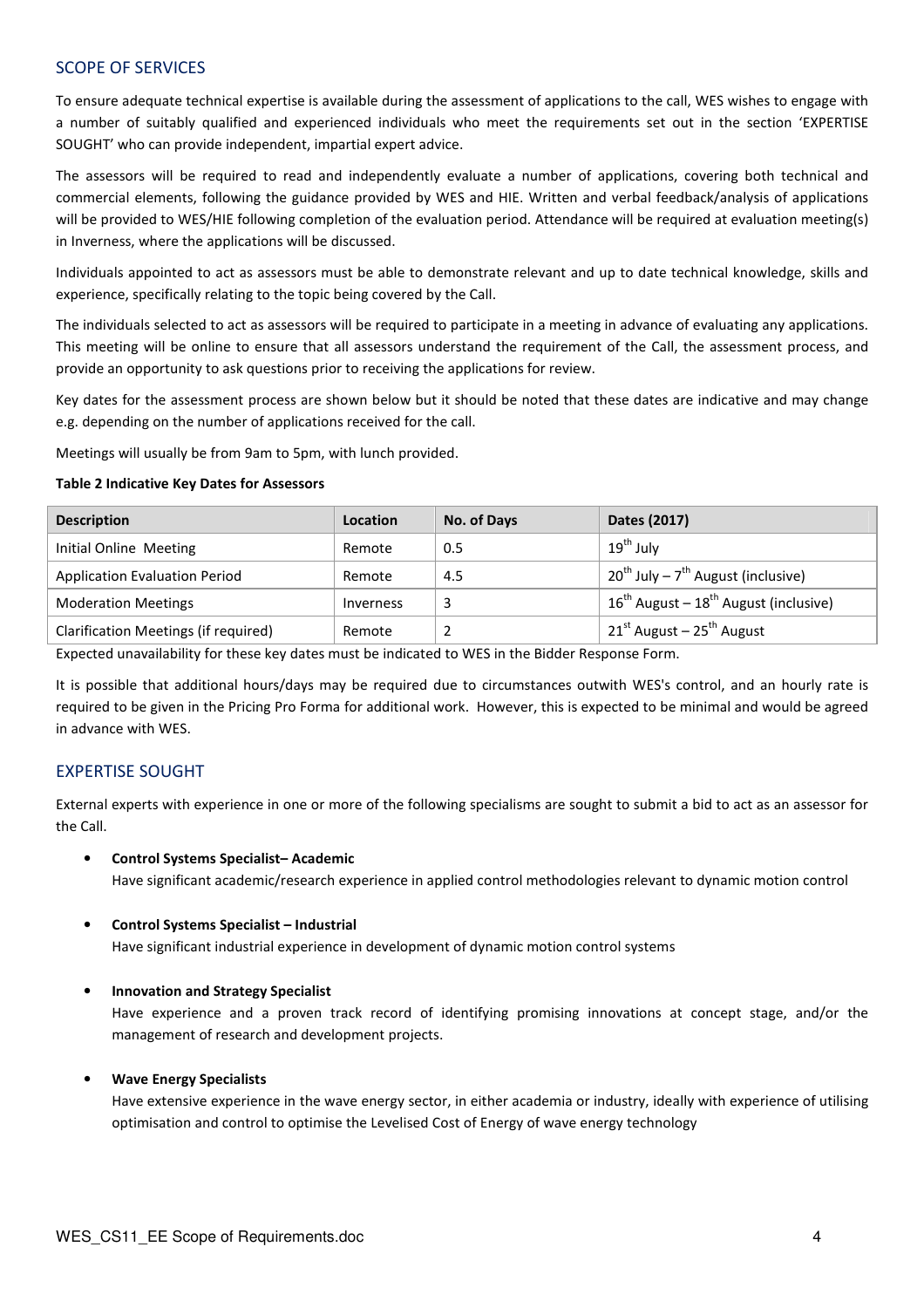#### SCOPE OF SERVICES

To ensure adequate technical expertise is available during the assessment of applications to the call, WES wishes to engage with a number of suitably qualified and experienced individuals who meet the requirements set out in the section 'EXPERTISE SOUGHT' who can provide independent, impartial expert advice.

The assessors will be required to read and independently evaluate a number of applications, covering both technical and commercial elements, following the guidance provided by WES and HIE. Written and verbal feedback/analysis of applications will be provided to WES/HIE following completion of the evaluation period. Attendance will be required at evaluation meeting(s) in Inverness, where the applications will be discussed.

Individuals appointed to act as assessors must be able to demonstrate relevant and up to date technical knowledge, skills and experience, specifically relating to the topic being covered by the Call.

The individuals selected to act as assessors will be required to participate in a meeting in advance of evaluating any applications. This meeting will be online to ensure that all assessors understand the requirement of the Call, the assessment process, and provide an opportunity to ask questions prior to receiving the applications for review.

Key dates for the assessment process are shown below but it should be noted that these dates are indicative and may change e.g. depending on the number of applications received for the call.

Meetings will usually be from 9am to 5pm, with lunch provided.

#### Table 2 Indicative Key Dates for Assessors

| <b>Description</b>                   | Location  | No. of Days | Dates (2017)                                               |
|--------------------------------------|-----------|-------------|------------------------------------------------------------|
| Initial Online Meeting               | Remote    | 0.5         | $19th$ July                                                |
| <b>Application Evaluation Period</b> | Remote    | 4.5         | 20 <sup>th</sup> July – 7 <sup>th</sup> August (inclusive) |
| <b>Moderation Meetings</b>           | Inverness |             | $16^{th}$ August – $18^{th}$ August (inclusive)            |
| Clarification Meetings (if required) | Remote    |             | $21^{st}$ August – 25 <sup>th</sup> August                 |

Expected unavailability for these key dates must be indicated to WES in the Bidder Response Form.

It is possible that additional hours/days may be required due to circumstances outwith WES's control, and an hourly rate is required to be given in the Pricing Pro Forma for additional work. However, this is expected to be minimal and would be agreed in advance with WES.

#### EXPERTISE SOUGHT

External experts with experience in one or more of the following specialisms are sought to submit a bid to act as an assessor for the Call.

• Control Systems Specialist– Academic

Have significant academic/research experience in applied control methodologies relevant to dynamic motion control

• Control Systems Specialist – Industrial

Have significant industrial experience in development of dynamic motion control systems

#### • Innovation and Strategy Specialist

Have experience and a proven track record of identifying promising innovations at concept stage, and/or the management of research and development projects.

#### • Wave Energy Specialists

Have extensive experience in the wave energy sector, in either academia or industry, ideally with experience of utilising optimisation and control to optimise the Levelised Cost of Energy of wave energy technology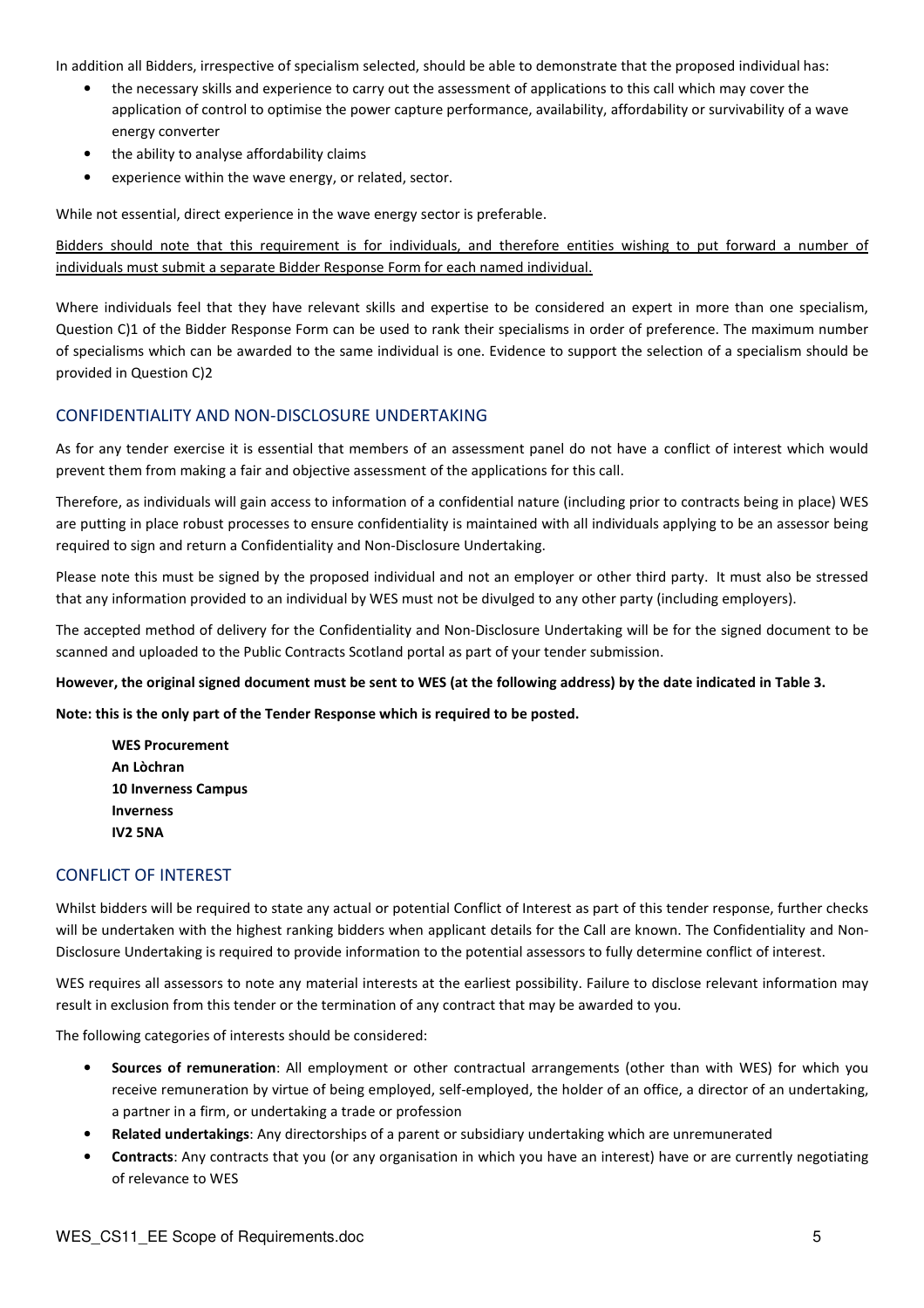In addition all Bidders, irrespective of specialism selected, should be able to demonstrate that the proposed individual has:

- the necessary skills and experience to carry out the assessment of applications to this call which may cover the application of control to optimise the power capture performance, availability, affordability or survivability of a wave energy converter
- the ability to analyse affordability claims
- experience within the wave energy, or related, sector.

While not essential, direct experience in the wave energy sector is preferable.

Bidders should note that this requirement is for individuals, and therefore entities wishing to put forward a number of individuals must submit a separate Bidder Response Form for each named individual.

Where individuals feel that they have relevant skills and expertise to be considered an expert in more than one specialism, Question C)1 of the Bidder Response Form can be used to rank their specialisms in order of preference. The maximum number of specialisms which can be awarded to the same individual is one. Evidence to support the selection of a specialism should be provided in Question C)2

#### CONFIDENTIALITY AND NON-DISCLOSURE UNDERTAKING

As for any tender exercise it is essential that members of an assessment panel do not have a conflict of interest which would prevent them from making a fair and objective assessment of the applications for this call.

Therefore, as individuals will gain access to information of a confidential nature (including prior to contracts being in place) WES are putting in place robust processes to ensure confidentiality is maintained with all individuals applying to be an assessor being required to sign and return a Confidentiality and Non-Disclosure Undertaking.

Please note this must be signed by the proposed individual and not an employer or other third party. It must also be stressed that any information provided to an individual by WES must not be divulged to any other party (including employers).

The accepted method of delivery for the Confidentiality and Non-Disclosure Undertaking will be for the signed document to be scanned and uploaded to the Public Contracts Scotland portal as part of your tender submission.

However, the original signed document must be sent to WES (at the following address) by the date indicated in Table 3.

Note: this is the only part of the Tender Response which is required to be posted.

WES Procurement An Lòchran 10 Inverness Campus Inverness IV2 5NA

#### CONFLICT OF INTEREST

Whilst bidders will be required to state any actual or potential Conflict of Interest as part of this tender response, further checks will be undertaken with the highest ranking bidders when applicant details for the Call are known. The Confidentiality and Non-Disclosure Undertaking is required to provide information to the potential assessors to fully determine conflict of interest.

WES requires all assessors to note any material interests at the earliest possibility. Failure to disclose relevant information may result in exclusion from this tender or the termination of any contract that may be awarded to you.

The following categories of interests should be considered:

- Sources of remuneration: All employment or other contractual arrangements (other than with WES) for which you receive remuneration by virtue of being employed, self-employed, the holder of an office, a director of an undertaking, a partner in a firm, or undertaking a trade or profession
- Related undertakings: Any directorships of a parent or subsidiary undertaking which are unremunerated
- Contracts: Any contracts that you (or any organisation in which you have an interest) have or are currently negotiating of relevance to WES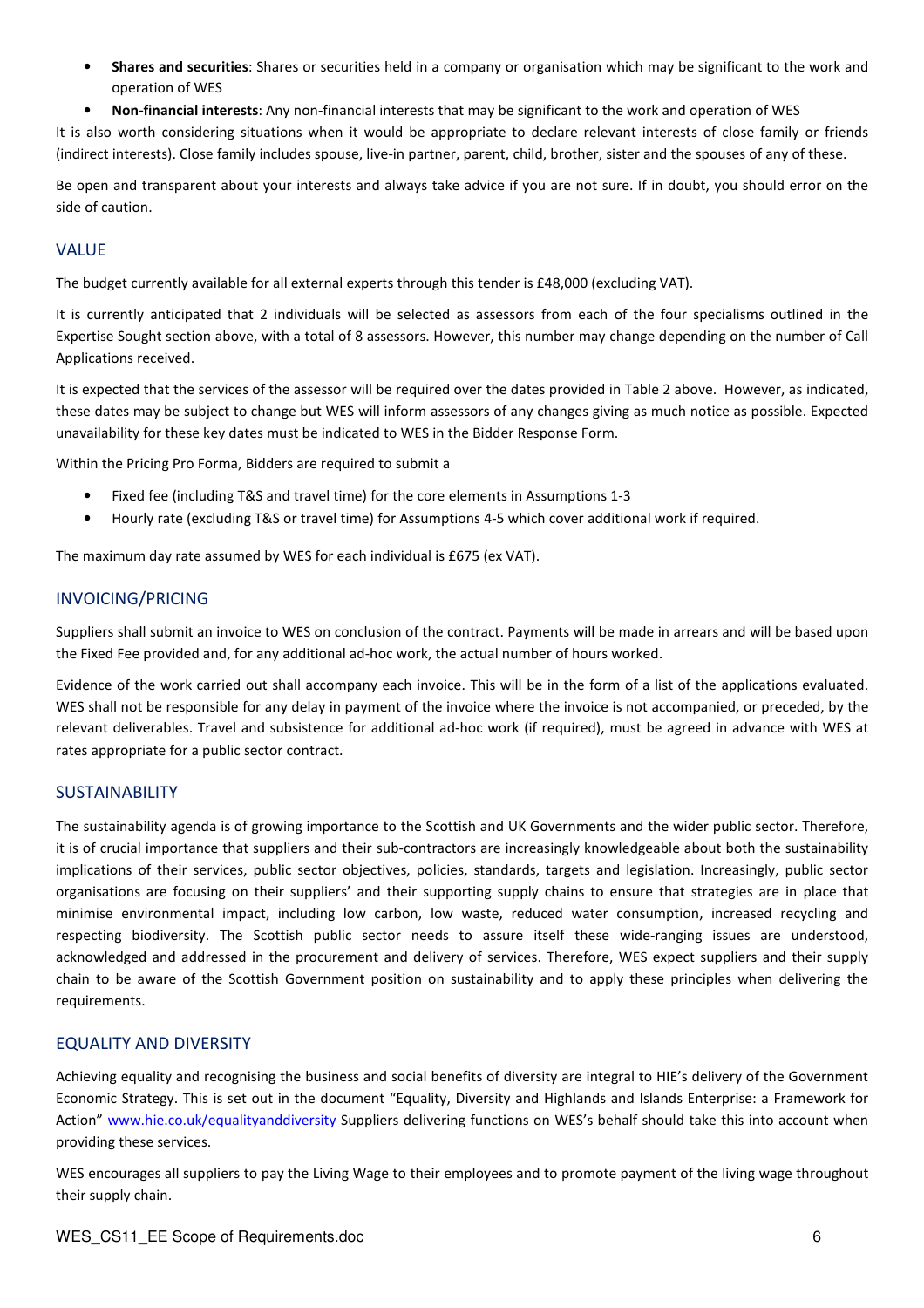- **Shares and securities:** Shares or securities held in a company or organisation which may be significant to the work and operation of WES
- Non-financial interests: Any non-financial interests that may be significant to the work and operation of WES

It is also worth considering situations when it would be appropriate to declare relevant interests of close family or friends (indirect interests). Close family includes spouse, live-in partner, parent, child, brother, sister and the spouses of any of these.

Be open and transparent about your interests and always take advice if you are not sure. If in doubt, you should error on the side of caution.

#### VALUE

The budget currently available for all external experts through this tender is £48,000 (excluding VAT).

It is currently anticipated that 2 individuals will be selected as assessors from each of the four specialisms outlined in the Expertise Sought section above, with a total of 8 assessors. However, this number may change depending on the number of Call Applications received.

It is expected that the services of the assessor will be required over the dates provided in Table 2 above. However, as indicated, these dates may be subject to change but WES will inform assessors of any changes giving as much notice as possible. Expected unavailability for these key dates must be indicated to WES in the Bidder Response Form.

Within the Pricing Pro Forma, Bidders are required to submit a

- Fixed fee (including T&S and travel time) for the core elements in Assumptions 1-3
- Hourly rate (excluding T&S or travel time) for Assumptions 4-5 which cover additional work if required.

The maximum day rate assumed by WES for each individual is £675 (ex VAT).

#### INVOICING/PRICING

Suppliers shall submit an invoice to WES on conclusion of the contract. Payments will be made in arrears and will be based upon the Fixed Fee provided and, for any additional ad-hoc work, the actual number of hours worked.

Evidence of the work carried out shall accompany each invoice. This will be in the form of a list of the applications evaluated. WES shall not be responsible for any delay in payment of the invoice where the invoice is not accompanied, or preceded, by the relevant deliverables. Travel and subsistence for additional ad-hoc work (if required), must be agreed in advance with WES at rates appropriate for a public sector contract.

#### SUSTAINABILITY

The sustainability agenda is of growing importance to the Scottish and UK Governments and the wider public sector. Therefore, it is of crucial importance that suppliers and their sub-contractors are increasingly knowledgeable about both the sustainability implications of their services, public sector objectives, policies, standards, targets and legislation. Increasingly, public sector organisations are focusing on their suppliers' and their supporting supply chains to ensure that strategies are in place that minimise environmental impact, including low carbon, low waste, reduced water consumption, increased recycling and respecting biodiversity. The Scottish public sector needs to assure itself these wide-ranging issues are understood, acknowledged and addressed in the procurement and delivery of services. Therefore, WES expect suppliers and their supply chain to be aware of the Scottish Government position on sustainability and to apply these principles when delivering the requirements.

#### EQUALITY AND DIVERSITY

Achieving equality and recognising the business and social benefits of diversity are integral to HIE's delivery of the Government Economic Strategy. This is set out in the document "Equality, Diversity and Highlands and Islands Enterprise: a Framework for Action" www.hie.co.uk/equalityanddiversity Suppliers delivering functions on WES's behalf should take this into account when providing these services.

WES encourages all suppliers to pay the Living Wage to their employees and to promote payment of the living wage throughout their supply chain.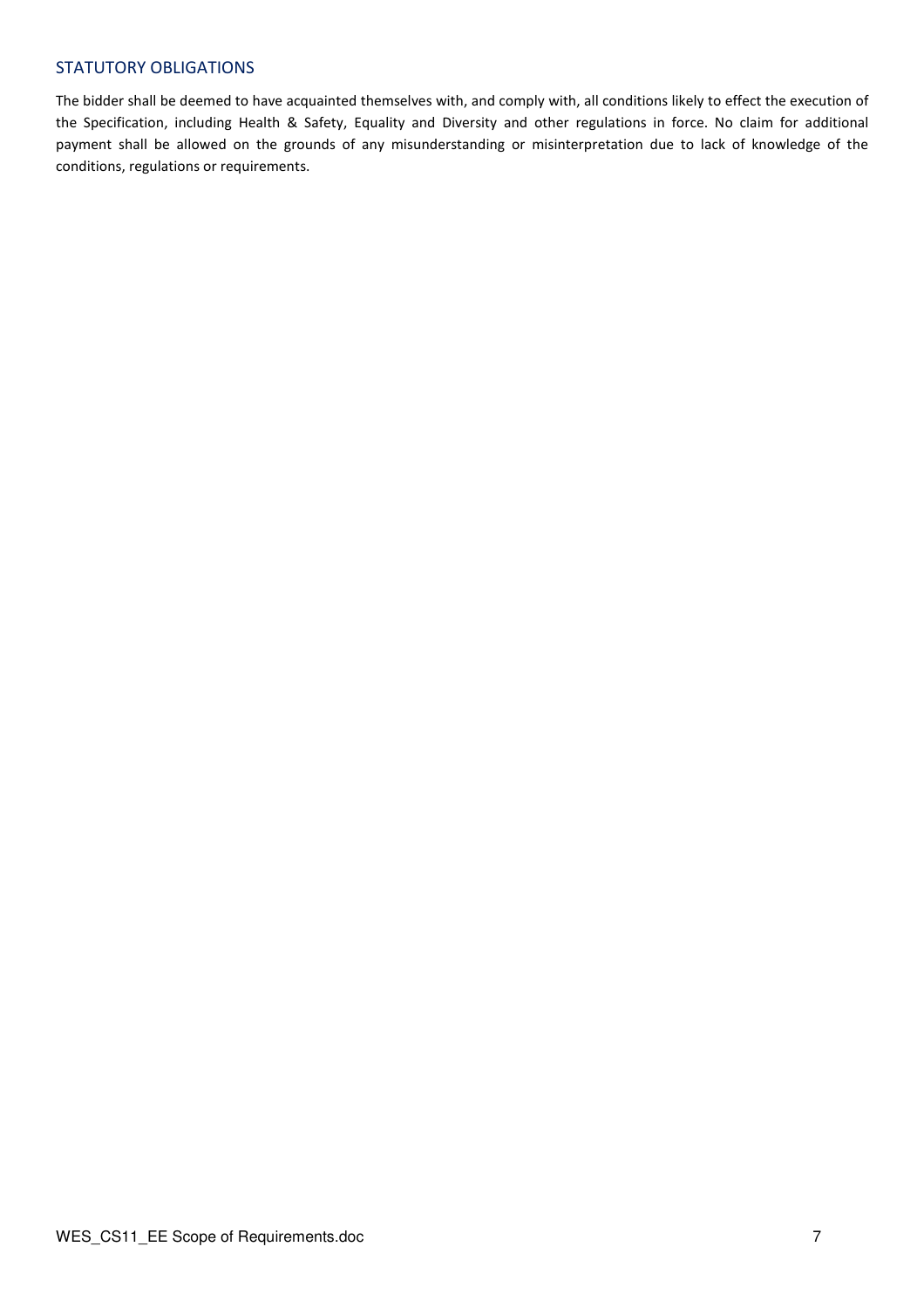#### STATUTORY OBLIGATIONS

The bidder shall be deemed to have acquainted themselves with, and comply with, all conditions likely to effect the execution of the Specification, including Health & Safety, Equality and Diversity and other regulations in force. No claim for additional payment shall be allowed on the grounds of any misunderstanding or misinterpretation due to lack of knowledge of the conditions, regulations or requirements.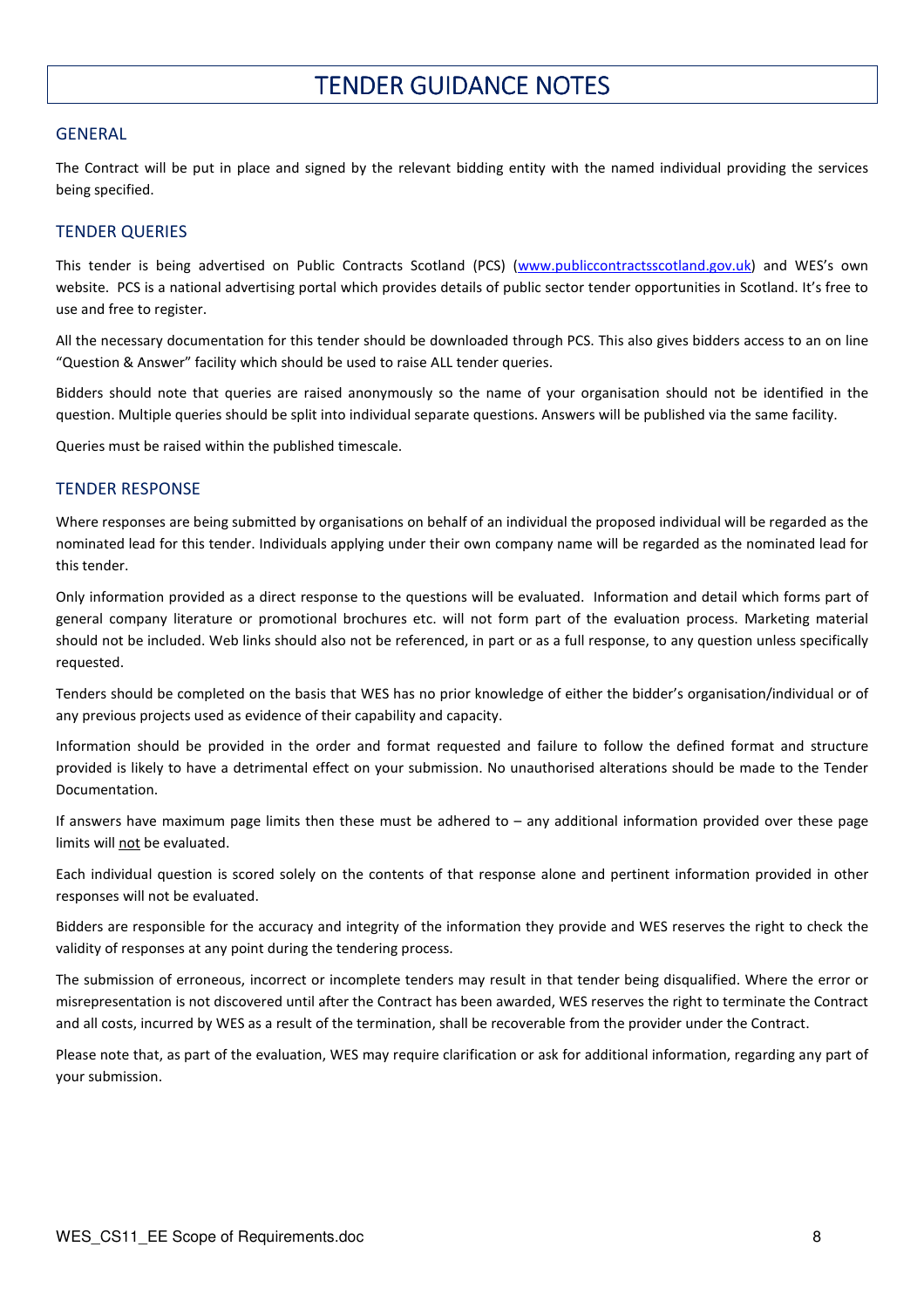### **TENDER GUIDANCE NOTES**

#### **GENERAL**

The Contract will be put in place and signed by the relevant bidding entity with the named individual providing the services being specified.

#### TENDER QUERIES

This tender is being advertised on Public Contracts Scotland (PCS) (www.publiccontractsscotland.gov.uk) and WES's own website. PCS is a national advertising portal which provides details of public sector tender opportunities in Scotland. It's free to use and free to register.

All the necessary documentation for this tender should be downloaded through PCS. This also gives bidders access to an on line "Question & Answer" facility which should be used to raise ALL tender queries.

Bidders should note that queries are raised anonymously so the name of your organisation should not be identified in the question. Multiple queries should be split into individual separate questions. Answers will be published via the same facility.

Queries must be raised within the published timescale.

#### TENDER RESPONSE

Where responses are being submitted by organisations on behalf of an individual the proposed individual will be regarded as the nominated lead for this tender. Individuals applying under their own company name will be regarded as the nominated lead for this tender.

Only information provided as a direct response to the questions will be evaluated. Information and detail which forms part of general company literature or promotional brochures etc. will not form part of the evaluation process. Marketing material should not be included. Web links should also not be referenced, in part or as a full response, to any question unless specifically requested.

Tenders should be completed on the basis that WES has no prior knowledge of either the bidder's organisation/individual or of any previous projects used as evidence of their capability and capacity.

Information should be provided in the order and format requested and failure to follow the defined format and structure provided is likely to have a detrimental effect on your submission. No unauthorised alterations should be made to the Tender Documentation.

If answers have maximum page limits then these must be adhered to – any additional information provided over these page limits will not be evaluated.

Each individual question is scored solely on the contents of that response alone and pertinent information provided in other responses will not be evaluated.

Bidders are responsible for the accuracy and integrity of the information they provide and WES reserves the right to check the validity of responses at any point during the tendering process.

The submission of erroneous, incorrect or incomplete tenders may result in that tender being disqualified. Where the error or misrepresentation is not discovered until after the Contract has been awarded, WES reserves the right to terminate the Contract and all costs, incurred by WES as a result of the termination, shall be recoverable from the provider under the Contract.

Please note that, as part of the evaluation, WES may require clarification or ask for additional information, regarding any part of your submission.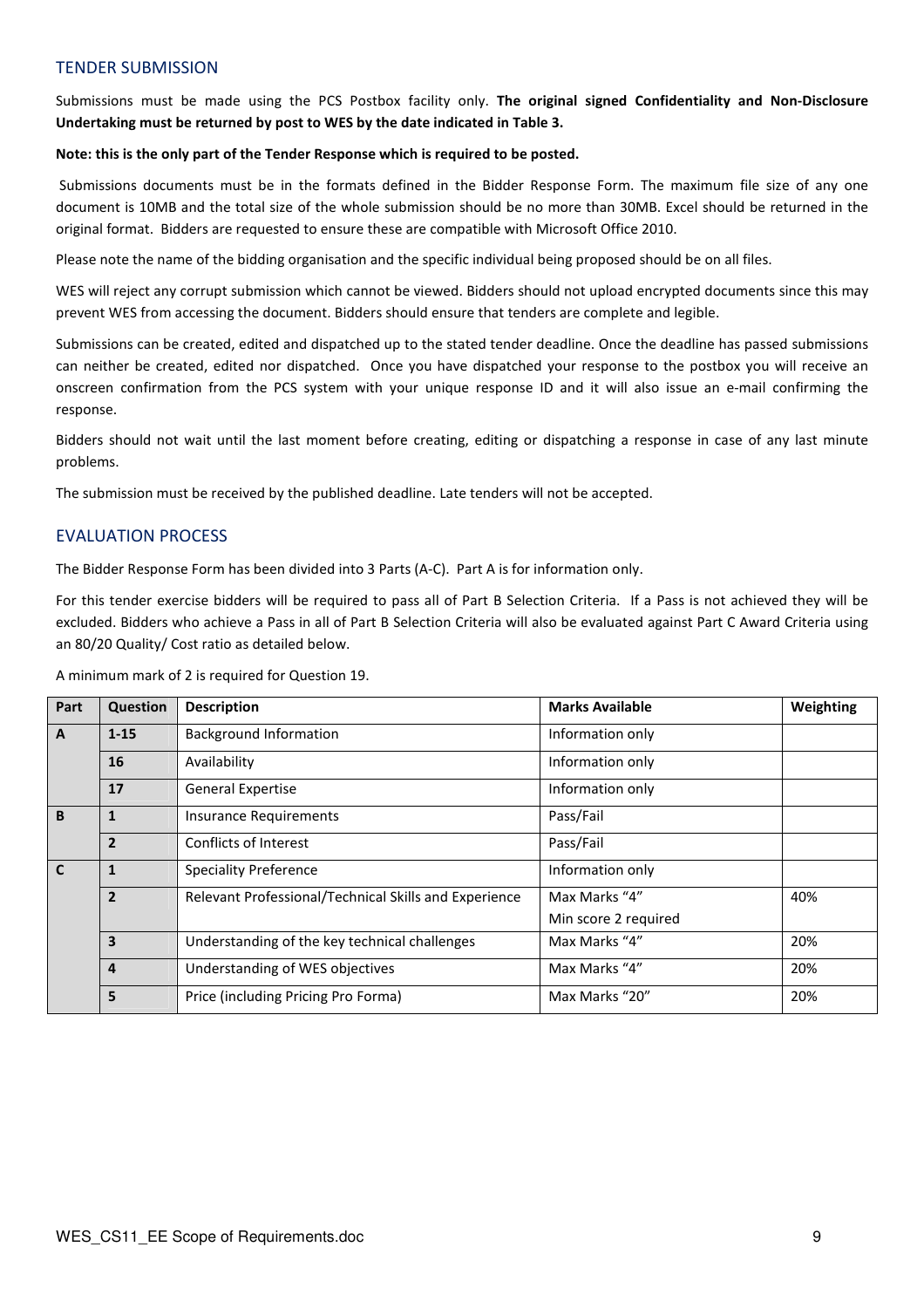#### TENDER SUBMISSION

Submissions must be made using the PCS Postbox facility only. The original signed Confidentiality and Non-Disclosure Undertaking must be returned by post to WES by the date indicated in Table 3.

#### Note: this is the only part of the Tender Response which is required to be posted.

 Submissions documents must be in the formats defined in the Bidder Response Form. The maximum file size of any one document is 10MB and the total size of the whole submission should be no more than 30MB. Excel should be returned in the original format. Bidders are requested to ensure these are compatible with Microsoft Office 2010.

Please note the name of the bidding organisation and the specific individual being proposed should be on all files.

WES will reject any corrupt submission which cannot be viewed. Bidders should not upload encrypted documents since this may prevent WES from accessing the document. Bidders should ensure that tenders are complete and legible.

Submissions can be created, edited and dispatched up to the stated tender deadline. Once the deadline has passed submissions can neither be created, edited nor dispatched. Once you have dispatched your response to the postbox you will receive an onscreen confirmation from the PCS system with your unique response ID and it will also issue an e-mail confirming the response.

Bidders should not wait until the last moment before creating, editing or dispatching a response in case of any last minute problems.

The submission must be received by the published deadline. Late tenders will not be accepted.

#### EVALUATION PROCESS

The Bidder Response Form has been divided into 3 Parts (A-C). Part A is for information only.

For this tender exercise bidders will be required to pass all of Part B Selection Criteria. If a Pass is not achieved they will be excluded. Bidders who achieve a Pass in all of Part B Selection Criteria will also be evaluated against Part C Award Criteria using an 80/20 Quality/ Cost ratio as detailed below.

A minimum mark of 2 is required for Question 19.

| Part         | Question       | <b>Description</b>                                    | <b>Marks Available</b> | Weighting |
|--------------|----------------|-------------------------------------------------------|------------------------|-----------|
| $\mathbf{A}$ | $1 - 15$       | <b>Background Information</b>                         | Information only       |           |
|              | 16             | Availability                                          | Information only       |           |
|              | 17             | <b>General Expertise</b>                              | Information only       |           |
| B            | 1              | <b>Insurance Requirements</b>                         | Pass/Fail              |           |
|              | $\overline{2}$ | Conflicts of Interest                                 | Pass/Fail              |           |
| $\mathbf{C}$ |                | <b>Speciality Preference</b>                          | Information only       |           |
|              | $\overline{2}$ | Relevant Professional/Technical Skills and Experience | Max Marks "4"          | 40%       |
|              |                |                                                       | Min score 2 required   |           |
|              | $\overline{3}$ | Understanding of the key technical challenges         | Max Marks "4"          | 20%       |
|              | $\overline{4}$ | Understanding of WES objectives                       | Max Marks "4"          | 20%       |
|              | 5              | Price (including Pricing Pro Forma)                   | Max Marks "20"         | 20%       |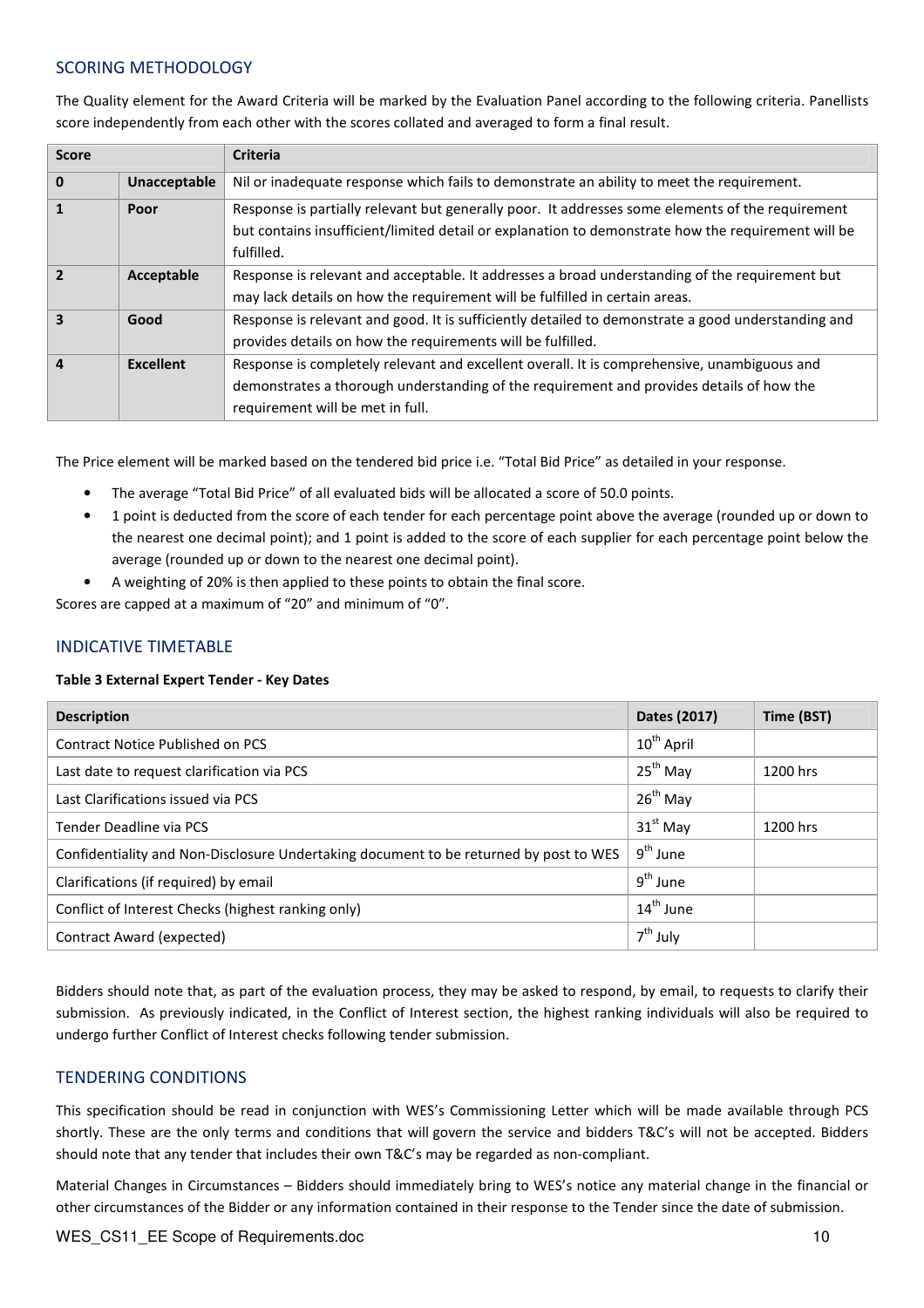#### SCORING METHODOLOGY

The Quality element for the Award Criteria will be marked by the Evaluation Panel according to the following criteria. Panellists score independently from each other with the scores collated and averaged to form a final result.

| <b>Score</b>            |                     | <b>Criteria</b>                                                                                                                                                                                                      |  |  |
|-------------------------|---------------------|----------------------------------------------------------------------------------------------------------------------------------------------------------------------------------------------------------------------|--|--|
| $\mathbf{0}$            | <b>Unacceptable</b> | Nil or inadequate response which fails to demonstrate an ability to meet the requirement.                                                                                                                            |  |  |
| $\mathbf{1}$            | Poor                | Response is partially relevant but generally poor. It addresses some elements of the requirement<br>but contains insufficient/limited detail or explanation to demonstrate how the requirement will be<br>fulfilled. |  |  |
| $\overline{2}$          | Acceptable          | Response is relevant and acceptable. It addresses a broad understanding of the requirement but                                                                                                                       |  |  |
|                         |                     | may lack details on how the requirement will be fulfilled in certain areas.                                                                                                                                          |  |  |
| $\overline{\mathbf{3}}$ | Good                | Response is relevant and good. It is sufficiently detailed to demonstrate a good understanding and                                                                                                                   |  |  |
|                         |                     | provides details on how the requirements will be fulfilled.                                                                                                                                                          |  |  |
| $\overline{a}$          | <b>Excellent</b>    | Response is completely relevant and excellent overall. It is comprehensive, unambiguous and                                                                                                                          |  |  |
|                         |                     | demonstrates a thorough understanding of the requirement and provides details of how the                                                                                                                             |  |  |
|                         |                     | requirement will be met in full.                                                                                                                                                                                     |  |  |

The Price element will be marked based on the tendered bid price i.e. "Total Bid Price" as detailed in your response.

- The average "Total Bid Price" of all evaluated bids will be allocated a score of 50.0 points.
- 1 point is deducted from the score of each tender for each percentage point above the average (rounded up or down to the nearest one decimal point); and 1 point is added to the score of each supplier for each percentage point below the average (rounded up or down to the nearest one decimal point).
- A weighting of 20% is then applied to these points to obtain the final score.

Scores are capped at a maximum of "20" and minimum of "0".

#### INDICATIVE TIMETABLE

#### Table 3 External Expert Tender - Key Dates

| <b>Description</b>                                                                    | Dates (2017)           | Time (BST) |
|---------------------------------------------------------------------------------------|------------------------|------------|
| <b>Contract Notice Published on PCS</b>                                               | $10^{\text{th}}$ April |            |
| Last date to request clarification via PCS                                            | $25^{th}$ May          | 1200 hrs   |
| Last Clarifications issued via PCS                                                    | $26^{th}$ May          |            |
| Tender Deadline via PCS                                                               | $31st$ May             | 1200 hrs   |
| Confidentiality and Non-Disclosure Undertaking document to be returned by post to WES | $9th$ June             |            |
| Clarifications (if required) by email                                                 | $9^{th}$ June          |            |
| Conflict of Interest Checks (highest ranking only)                                    | $14^{\text{th}}$ June  |            |
| Contract Award (expected)                                                             | $7th$ July             |            |

Bidders should note that, as part of the evaluation process, they may be asked to respond, by email, to requests to clarify their submission. As previously indicated, in the Conflict of Interest section, the highest ranking individuals will also be required to undergo further Conflict of Interest checks following tender submission.

#### TENDERING CONDITIONS

This specification should be read in conjunction with WES's Commissioning Letter which will be made available through PCS shortly. These are the only terms and conditions that will govern the service and bidders T&C's will not be accepted. Bidders should note that any tender that includes their own T&C's may be regarded as non-compliant.

Material Changes in Circumstances – Bidders should immediately bring to WES's notice any material change in the financial or other circumstances of the Bidder or any information contained in their response to the Tender since the date of submission.

#### WES CS11 EE Scope of Requirements.doc 10